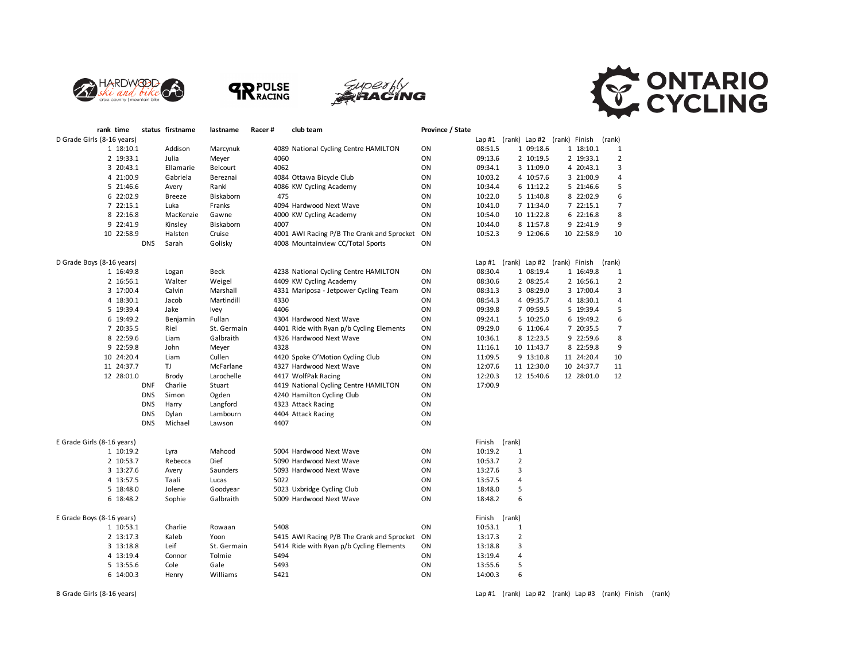







| rank time                  |            | status firstname | lastname    | Racer# |      | club team                                  | Province / State |               |                |                                           |            |                |
|----------------------------|------------|------------------|-------------|--------|------|--------------------------------------------|------------------|---------------|----------------|-------------------------------------------|------------|----------------|
| D Grade Girls (8-16 years) |            |                  |             |        |      |                                            |                  |               |                | Lap #1 (rank) Lap #2 (rank) Finish (rank) |            |                |
| 1 18:10.1                  |            | Addison          | Marcynuk    |        |      | 4089 National Cycling Centre HAMILTON      | ON               | 08:51.5       |                | 1 09:18.6                                 | 1 18:10.1  | 1              |
| 2 19:33.1                  |            | Julia            | Meyer       |        | 4060 |                                            | ON               | 09:13.6       |                | 2 10:19.5                                 | 2 19:33.1  | $\overline{2}$ |
| 3 20:43.1                  |            | Ellamarie        | Belcourt    |        | 4062 |                                            | ON               | 09:34.1       |                | 3 11:09.0                                 | 4 20:43.1  | 3              |
| 4 21:00.9                  |            | Gabriela         | Bereznai    |        |      | 4084 Ottawa Bicycle Club                   | ON               | 10:03.2       |                | 4 10:57.6                                 | 3 21:00.9  | 4              |
| 5 21:46.6                  |            | Avery            | Rankl       |        |      | 4086 KW Cycling Academy                    | ON               | 10:34.4       |                | 6 11:12.2                                 | 5 21:46.6  | 5              |
| 6 22:02.9                  |            | Breeze           | Biskaborn   |        | 475  |                                            | ON               | 10:22.0       |                | 5 11:40.8                                 | 8 22:02.9  | 6              |
| 7 22:15.1                  |            | Luka             | Franks      |        |      | 4094 Hardwood Next Wave                    | ON               | 10:41.0       |                | 7 11:34.0                                 | 7 22:15.1  | $\overline{7}$ |
| 8 22:16.8                  |            | MacKenzie        | Gawne       |        |      | 4000 KW Cycling Academy                    | ON               | 10:54.0       |                | 10 11:22.8                                | 6 22:16.8  | 8              |
| 9 22:41.9                  |            | Kinsley          | Biskaborn   |        | 4007 |                                            | ON               | 10:44.0       |                | 8 11:57.8                                 | 9 22:41.9  | 9              |
| 10 22:58.9                 |            | Halsten          | Cruise      |        |      | 4001 AWI Racing P/B The Crank and Sprocket | ON               | 10:52.3       |                | 9 12:06.6                                 | 10 22:58.9 | 10             |
|                            | <b>DNS</b> | Sarah            | Golisky     |        |      | 4008 Mountainview CC/Total Sports          | ON               |               |                |                                           |            |                |
| D Grade Boys (8-16 years)  |            |                  |             |        |      |                                            |                  |               |                | Lap #1 (rank) Lap #2 (rank) Finish        |            | (rank)         |
| 1 16:49.8                  |            | Logan            | Beck        |        |      | 4238 National Cycling Centre HAMILTON      | ON               | 08:30.4       |                | 1 08:19.4                                 | 1 16:49.8  | 1              |
| 2 16:56.1                  |            | Walter           | Weigel      |        |      | 4409 KW Cycling Academy                    | ON               | 08:30.6       |                | 2 08:25.4                                 | 2 16:56.1  | $\overline{2}$ |
| 3 17:00.4                  |            | Calvin           | Marshall    |        |      | 4331 Mariposa - Jetpower Cycling Team      | ON               | 08:31.3       |                | 3 08:29.0                                 | 3 17:00.4  | 3              |
| 4 18:30.1                  |            | Jacob            | Martindill  |        | 4330 |                                            | ON               | 08:54.3       |                | 4 09:35.7                                 | 4 18:30.1  | 4              |
| 5 19:39.4                  |            | Jake             | Ivey        |        | 4406 |                                            | ON               | 09:39.8       |                | 7 09:59.5                                 | 5 19:39.4  | 5              |
| 6 19:49.2                  |            | Benjamin         | Fullan      |        |      | 4304 Hardwood Next Wave                    | ON               | 09:24.1       |                | 5 10:25.0                                 | 6 19:49.2  | 6              |
| 7 20:35.5                  |            | Riel             | St. Germain |        |      | 4401 Ride with Ryan p/b Cycling Elements   | ON               | 09:29.0       |                | 6 11:06.4                                 | 7 20:35.5  | $\overline{7}$ |
| 8 22:59.6                  |            | Liam             | Galbraith   |        |      | 4326 Hardwood Next Wave                    | ON               | 10:36.1       |                | 8 12:23.5                                 | 9 22:59.6  | 8              |
| 9 22:59.8                  |            | John             | Meyer       |        | 4328 |                                            | ON               | 11:16.1       |                | 10 11:43.7                                | 8 22:59.8  | 9              |
| 10 24:20.4                 |            | Liam             | Cullen      |        |      | 4420 Spoke O'Motion Cycling Club           | ON               | 11:09.5       |                | 9 13:10.8                                 | 11 24:20.4 | 10             |
| 11 24:37.7                 |            | TJ               | McFarlane   |        |      | 4327 Hardwood Next Wave                    | ON               | 12:07.6       |                | 11 12:30.0                                | 10 24:37.7 | 11             |
| 12 28:01.0                 |            | <b>Brody</b>     | Larochelle  |        |      | 4417 WolfPak Racing                        | ON               | 12:20.3       |                | 12 15:40.6                                | 12 28:01.0 | 12             |
|                            | <b>DNF</b> | Charlie          | Stuart      |        |      | 4419 National Cycling Centre HAMILTON      | ON               | 17:00.9       |                |                                           |            |                |
|                            | <b>DNS</b> | Simon            | Ogden       |        |      | 4240 Hamilton Cycling Club                 | ON               |               |                |                                           |            |                |
|                            | <b>DNS</b> | Harry            | Langford    |        |      | 4323 Attack Racing                         | ON               |               |                |                                           |            |                |
|                            | <b>DNS</b> | Dylan            | Lambourn    |        |      | 4404 Attack Racing                         | ON               |               |                |                                           |            |                |
|                            | <b>DNS</b> | Michael          | Lawson      |        | 4407 |                                            | ON               |               |                |                                           |            |                |
|                            |            |                  |             |        |      |                                            |                  |               |                |                                           |            |                |
| E Grade Girls (8-16 years) |            |                  |             |        |      |                                            |                  | Finish (rank) |                |                                           |            |                |
| 1 10:19.2                  |            | Lyra             | Mahood      |        |      | 5004 Hardwood Next Wave                    | ON               | 10:19.2       | $\mathbf{1}$   |                                           |            |                |
| 2 10:53.7                  |            | Rebecca          | Dief        |        |      | 5090 Hardwood Next Wave                    | ON               | 10:53.7       | $\overline{2}$ |                                           |            |                |
| 3 13:27.6                  |            | Avery            | Saunders    |        |      | 5093 Hardwood Next Wave                    | ON               | 13:27.6       | 3              |                                           |            |                |
| 4 13:57.5                  |            | Taali            | Lucas       |        | 5022 |                                            | ON               | 13:57.5       | $\overline{4}$ |                                           |            |                |
| 5 18:48.0                  |            | Jolene           | Goodyear    |        |      | 5023 Uxbridge Cycling Club                 | ON               | 18:48.0       | 5              |                                           |            |                |
| 6 18:48.2                  |            | Sophie           | Galbraith   |        |      | 5009 Hardwood Next Wave                    | ON               | 18:48.2       | 6              |                                           |            |                |
| E Grade Boys (8-16 years)  |            |                  |             |        |      |                                            |                  | Finish (rank) |                |                                           |            |                |
| 1 10:53.1                  |            | Charlie          | Rowaan      |        | 5408 |                                            | ON               | 10:53.1       | $\mathbf{1}$   |                                           |            |                |
| 2 13:17.3                  |            | Kaleb            | Yoon        |        |      | 5415 AWI Racing P/B The Crank and Sprocket | ON               | 13:17.3       | 2              |                                           |            |                |
| 3 13:18.8                  |            | Leif             | St. Germain |        |      | 5414 Ride with Ryan p/b Cycling Elements   | ON               | 13:18.8       | 3              |                                           |            |                |
| 4 13:19.4                  |            | Connor           | Tolmie      |        | 5494 |                                            | ON               | 13:19.4       | 4              |                                           |            |                |
| 5 13:55.6                  |            | Cole             | Gale        |        | 5493 |                                            | ON               | 13:55.6       | 5              |                                           |            |                |
| 6 14:00.3                  |            | Henry            | Williams    |        | 5421 |                                            | ON               | 14:00.3       | 6              |                                           |            |                |

B Grade Girls (8-16 years) **Lap #1** (rank) Lap #2 (rank) Lap #2 (rank) Lap #3 (rank) Finish (rank) Finish (rank)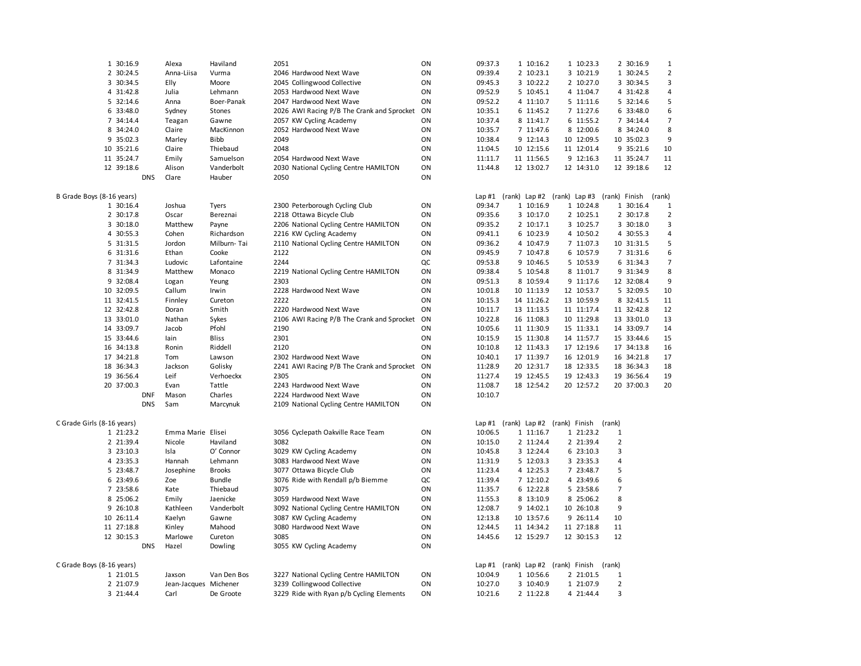| 1 30:16.9                  |            | Alexa                           | Haviland      | 2051                                                                 | ON       | 09:37.3                  | 1 10:16.2                          |               | 1 10:23.3              |                     | 2 30:16.9  | 1                       |
|----------------------------|------------|---------------------------------|---------------|----------------------------------------------------------------------|----------|--------------------------|------------------------------------|---------------|------------------------|---------------------|------------|-------------------------|
| 2 30:24.5                  |            | Anna-Liisa                      | Vurma         | 2046 Hardwood Next Wave                                              | ON       | 09:39.4                  | 2 10:23.1                          |               | 3 10:21.9              |                     | 1 30:24.5  | $\overline{a}$          |
| 3 30:34.5                  |            | Elly                            | Moore         | 2045 Collingwood Collective                                          | ON       | 09:45.3                  | 3 10:22.2                          |               | 2 10:27.0              |                     | 3 30:34.5  | 3                       |
| 4 31:42.8                  |            | Julia                           | Lehmann       | 2053 Hardwood Next Wave                                              | ON       | 09:52.9                  | 5 10:45.1                          |               | 4 11:04.7              |                     | 4 31:42.8  | 4                       |
| 5 32:14.6                  |            | Anna                            | Boer-Panak    | 2047 Hardwood Next Wave                                              | ON       | 09:52.2                  | 4 11:10.7                          |               | 5 11:11.6              |                     | 5 32:14.6  | 5                       |
| 6 33:48.0                  |            | Sydney                          | Stones        | 2026 AWI Racing P/B The Crank and Sprocket                           | ON       | 10:35.1                  | 6 11:45.2                          |               | 7 11:27.6              |                     | 6 33:48.0  | 6                       |
| 7 34:14.4                  |            | Teagan                          | Gawne         | 2057 KW Cycling Academy                                              | ON       | 10:37.4                  | 8 11:41.7                          |               | 6 11:55.2              |                     | 7 34:14.4  | $\overline{7}$          |
| 8 34:24.0                  |            | Claire                          | MacKinnon     | 2052 Hardwood Next Wave                                              | ON       | 10:35.7                  | 7 11:47.6                          |               | 8 12:00.6              |                     | 8 34:24.0  | 8                       |
| 9 35:02.3                  |            | Marley                          | <b>Bibb</b>   | 2049                                                                 | ON       | 10:38.4                  | 9 12:14.3                          |               | 10 12:09.5             |                     | 10 35:02.3 | 9                       |
| 10 35:21.6                 |            | Claire                          | Thiebaud      | 2048                                                                 | ON       | 11:04.5                  | 10 12:15.6                         |               | 11 12:01.4             |                     | 9 35:21.6  | 10                      |
| 11 35:24.7                 |            | Emily                           | Samuelson     | 2054 Hardwood Next Wave                                              | ON       | 11:11.7                  | 11 11:56.5                         |               | 9 12:16.3              |                     | 11 35:24.7 | 11                      |
| 12 39:18.6                 |            | Alison                          | Vanderbolt    | 2030 National Cycling Centre HAMILTON                                | ON       | 11:44.8                  | 12 13:02.7                         |               | 12 14:31.0             |                     | 12 39:18.6 | 12                      |
|                            | <b>DNS</b> | Clare                           | Hauber        | 2050                                                                 | ON       |                          |                                    |               |                        |                     |            |                         |
|                            |            |                                 |               |                                                                      |          |                          |                                    |               |                        |                     |            |                         |
| B Grade Boys (8-16 years)  |            |                                 |               |                                                                      |          | Lap $#1$ (rank) Lap $#2$ |                                    |               | (rank) Lap #3          | (rank) Finish       |            | (rank)                  |
| 1 30:16.4                  |            | Joshua                          | Tyers         | 2300 Peterborough Cycling Club                                       | ON       | 09:34.7                  | 1 10:16.9                          |               | 1 10:24.8              |                     | 1 30:16.4  | 1                       |
| 2 30:17.8                  |            | Oscar                           | Bereznai      | 2218 Ottawa Bicycle Club                                             | ON       | 09:35.6                  | 3 10:17.0                          |               | 2 10:25.1              |                     | 2 30:17.8  | $\overline{\mathbf{c}}$ |
| 3 30:18.0                  |            | Matthew                         | Payne         | 2206 National Cycling Centre HAMILTON                                | ON       | 09:35.2                  | 2 10:17.1                          |               | 3 10:25.7              |                     | 3 30:18.0  | 3                       |
| 4 30:55.3                  |            | Cohen                           | Richardson    | 2216 KW Cycling Academy                                              | ON       | 09:41.1                  | 6 10:23.9                          |               | 4 10:50.2              |                     | 4 30:55.3  | 4                       |
| 5 31:31.5                  |            | Jordon                          | Milburn-Tai   | 2110 National Cycling Centre HAMILTON                                | ON       | 09:36.2                  | 4 10:47.9                          |               | 7 11:07.3              |                     | 10 31:31.5 | 5                       |
| 6 31:31.6                  |            | Ethan                           | Cooke         | 2122                                                                 | ON       | 09:45.9                  | 7 10:47.8                          |               | 6 10:57.9              |                     | 7 31:31.6  | 6                       |
| 7 31:34.3                  |            | Ludovic                         | Lafontaine    | 2244                                                                 | QC       | 09:53.8                  | 9 10:46.5                          |               | 5 10:53.9              |                     | 6 31:34.3  | 7                       |
| 8 31:34.9                  |            | Matthew                         | Monaco        | 2219 National Cycling Centre HAMILTON                                | ON       | 09:38.4                  | 5 10:54.8                          |               | 8 11:01.7              |                     | 9 31:34.9  | 8                       |
| 9 32:08.4                  |            | Logan                           | Yeung         | 2303                                                                 | ON       | 09:51.3                  | 8 10:59.4                          |               | 9 11:17.6              |                     | 12 32:08.4 | 9                       |
| 10 32:09.5                 |            | Callum                          | Irwin         | 2228 Hardwood Next Wave                                              | ON       | 10:01.8                  | 10 11:13.9                         |               | 12 10:53.7             |                     | 5 32:09.5  | 10                      |
| 11 32:41.5                 |            | Finnley                         | Cureton       | 2222                                                                 | ON       | 10:15.3                  | 14 11:26.2                         |               | 13 10:59.9             |                     | 8 32:41.5  | 11                      |
| 12 32:42.8                 |            | Doran                           | Smith         | 2220 Hardwood Next Wave                                              | ON       | 10:11.7                  | 13 11:13.5                         |               | 11 11:17.4             |                     | 11 32:42.8 | 12                      |
| 13 33:01.0                 |            | Nathan                          | Sykes         | 2106 AWI Racing P/B The Crank and Sprocket                           | ON       | 10:22.8                  | 16 11:08.3                         |               | 10 11:29.8             |                     | 13 33:01.0 | 13                      |
| 14 33:09.7                 |            | Jacob                           | Pfohl         | 2190                                                                 | ON       | 10:05.6                  | 11 11:30.9                         |               | 15 11:33.1             |                     | 14 33:09.7 | 14                      |
| 15 33:44.6                 |            | lain                            | <b>Bliss</b>  | 2301                                                                 | ON       | 10:15.9                  | 15 11:30.8                         |               | 14 11:57.7             |                     | 15 33:44.6 | 15                      |
| 16 34:13.8                 |            | Ronin                           | Riddell       | 2120                                                                 | ON       | 10:10.8                  | 12 11:43.3                         |               | 17 12:19.6             |                     | 17 34:13.8 | 16                      |
| 17 34:21.8                 |            | Tom                             | Lawson        | 2302 Hardwood Next Wave                                              | ON       | 10:40.1                  | 17 11:39.7                         |               | 16 12:01.9             |                     | 16 34:21.8 | 17                      |
| 18 36:34.3                 |            | Jackson                         | Golisky       | 2241 AWI Racing P/B The Crank and Sprocket                           | ON       | 11:28.9                  | 20 12:31.7                         |               | 18 12:33.5             |                     | 18 36:34.3 | 18                      |
| 19 36:56.4                 |            | Leif                            | Verhoeckx     | 2305                                                                 | ON       | 11:27.4                  | 19 12:45.5                         |               | 19 12:43.3             |                     | 19 36:56.4 | 19                      |
| 20 37:00.3                 |            | Evan                            | Tattle        | 2243 Hardwood Next Wave                                              | ON       | 11:08.7                  | 18 12:54.2                         |               | 20 12:57.2             |                     | 20 37:00.3 | 20                      |
|                            | <b>DNF</b> | Mason                           | Charles       | 2224 Hardwood Next Wave                                              | ON       | 10:10.7                  |                                    |               |                        |                     |            |                         |
|                            | <b>DNS</b> | Sam                             | Marcynuk      | 2109 National Cycling Centre HAMILTON                                | ON       |                          |                                    |               |                        |                     |            |                         |
|                            |            |                                 |               |                                                                      |          |                          |                                    |               |                        |                     |            |                         |
| C Grade Girls (8-16 years) |            |                                 |               |                                                                      |          |                          | Lap #1 (rank) Lap #2 (rank) Finish |               |                        | (rank)              |            |                         |
| 1 21:23.2                  |            | Emma Marie Elisei               |               | 3056 Cyclepath Oakville Race Team                                    | ON       | 10:06.5                  | 1 11:16.7                          |               | 1 21:23.2              | 1                   |            |                         |
| 2 21:39.4                  |            | Nicole                          | Haviland      | 3082                                                                 | ON       | 10:15.0                  | 2 11:24.4                          |               | 2 21:39.4              | $\overline{2}$      |            |                         |
| 3 23:10.3                  |            | Isla                            | O' Connor     | 3029 KW Cycling Academy                                              | ON       | 10:45.8                  | 3 12:24.4                          |               | 6 23:10.3              | 3                   |            |                         |
| 4 23:35.3                  |            | Hannah                          | Lehmann       | 3083 Hardwood Next Wave                                              | ON       | 11:31.9                  | 5 12:03.3                          |               | 3 23:35.3              | 4                   |            |                         |
| 5 23:48.7                  |            | Josephine                       | <b>Brooks</b> | 3077 Ottawa Bicycle Club                                             | ON       | 11:23.4                  | 4 12:25.3                          |               | 7 23:48.7              | 5                   |            |                         |
| 6 23:49.6                  |            | Zoe                             | Bundle        | 3076 Ride with Rendall p/b Biemme                                    | QC       | 11:39.4                  | 7 12:10.2                          |               | 4 23:49.6              | 6                   |            |                         |
| 7 23:58.6                  |            | Kate                            | Thiebaud      | 3075                                                                 | ON       | 11:35.7                  | 6 12:22.8                          |               | 5 23:58.6              | $\overline{7}$      |            |                         |
| 8 25:06.2                  |            | Emily                           | Jaenicke      | 3059 Hardwood Next Wave                                              | ON       | 11:55.3                  | 8 13:10.9                          |               | 8 25:06.2              | 8                   |            |                         |
| 9 26:10.8                  |            | Kathleen                        | Vanderbolt    | 3092 National Cycling Centre HAMILTON                                | ON       | 12:08.7                  | 9 14:02.1                          |               | 10 26:10.8             | 9                   |            |                         |
| 10 26:11.4                 |            | Kaelyn                          | Gawne         | 3087 KW Cycling Academy                                              | ON       | 12:13.8                  | 10 13:57.6                         |               | 9 26:11.4              | 10                  |            |                         |
| 11 27:18.8                 |            | Kinley                          | Mahood        | 3080 Hardwood Next Wave                                              | ON       | 12:44.5                  | 11 14:34.2                         |               | 11 27:18.8             | 11                  |            |                         |
| 12 30:15.3                 |            | Marlowe                         | Cureton       | 3085                                                                 | ON       | 14:45.6                  | 12 15:29.7                         |               | 12 30:15.3             | 12                  |            |                         |
|                            | <b>DNS</b> | Hazel                           | Dowling       | 3055 KW Cycling Academy                                              | ON       |                          |                                    |               |                        |                     |            |                         |
|                            |            |                                 |               |                                                                      |          |                          |                                    |               |                        |                     |            |                         |
| C Grade Boys (8-16 years)  |            |                                 |               |                                                                      |          |                          | Lap #1 (rank) Lap #2               | (rank) Finish |                        | (rank)              |            |                         |
| 1 21:01.5<br>2 21:07.9     |            | Jaxson<br>Jean-Jacques Michener | Van Den Bos   | 3227 National Cycling Centre HAMILTON<br>3239 Collingwood Collective | ON<br>ON | 10:04.9<br>10:27.0       | 1 10:56.6<br>3 10:40.9             |               | 2 21:01.5<br>1 21:07.9 | 1<br>$\overline{2}$ |            |                         |
|                            |            |                                 |               |                                                                      |          |                          |                                    |               |                        |                     |            |                         |
| 3 21:44.4                  |            | Carl                            | De Groote     | 3229 Ride with Ryan p/b Cycling Elements                             | ON       | 10:21.6                  | 2 11:22.8                          |               | 4 21:44.4              | 3                   |            |                         |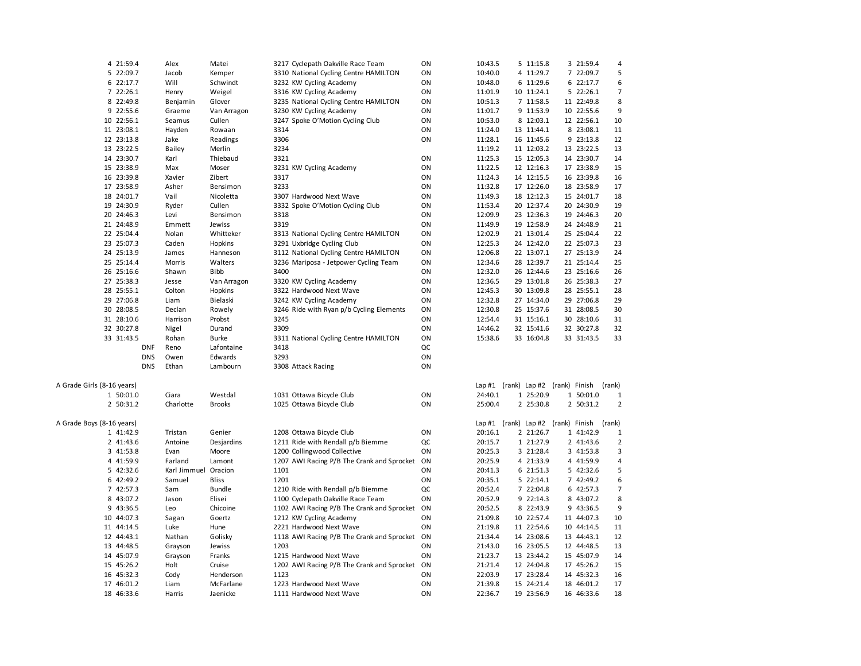|                            | 4 21:59.4  |            | Alex                 | Matei         |      | 3217 Cyclepath Oakville Race Team          | ON | 10:43.5 | 5 11:15.8                          | 3 21:59.4                                 | 4              |
|----------------------------|------------|------------|----------------------|---------------|------|--------------------------------------------|----|---------|------------------------------------|-------------------------------------------|----------------|
|                            | 5 22:09.7  |            | Jacob                | Kemper        |      | 3310 National Cycling Centre HAMILTON      | ON | 10:40.0 | 4 11:29.7                          | 7 22:09.7                                 | 5              |
|                            | 6 22:17.7  |            | Will                 | Schwindt      |      | 3232 KW Cycling Academy                    | ON | 10:48.0 | 6 11:29.6                          | 6 22:17.7                                 | 6              |
|                            | 7 22:26.1  |            | Henry                | Weigel        |      | 3316 KW Cycling Academy                    | ON | 11:01.9 | 10 11:24.1                         | 5 22:26.1                                 | $\overline{7}$ |
|                            | 8 22:49.8  |            | Benjamin             | Glover        |      | 3235 National Cycling Centre HAMILTON      | ON | 10:51.3 | 7 11:58.5                          | 11 22:49.8                                | 8              |
|                            | 9 22:55.6  |            | Graeme               | Van Arragon   |      | 3230 KW Cycling Academy                    | ON | 11:01.7 | 9 11:53.9                          | 10 22:55.6                                | 9              |
|                            |            |            |                      |               |      |                                            |    |         | 8 12:03.1                          |                                           |                |
|                            | 10 22:56.1 |            | Seamus               | Cullen        |      | 3247 Spoke O'Motion Cycling Club           | ON | 10:53.0 |                                    | 12 22:56.1                                | 10             |
|                            | 11 23:08.1 |            | Hayden               | Rowaan        | 3314 |                                            | ON | 11:24.0 | 13 11:44.1                         | 8 23:08.1                                 | 11             |
|                            | 12 23:13.8 |            | Jake                 | Readings      | 3306 |                                            | ON | 11:28.1 | 16 11:45.6                         | 9 23:13.8                                 | 12             |
|                            | 13 23:22.5 |            | <b>Bailey</b>        | Merlin        | 3234 |                                            |    | 11:19.2 | 11 12:03.2                         | 13 23:22.5                                | 13             |
|                            | 14 23:30.7 |            | Karl                 | Thiebaud      | 3321 |                                            | ON | 11:25.3 | 15 12:05.3                         | 14 23:30.7                                | 14             |
|                            | 15 23:38.9 |            | Max                  | Moser         |      | 3231 KW Cycling Academy                    | ON | 11:22.5 | 12 12:16.3                         | 17 23:38.9                                | 15             |
|                            | 16 23:39.8 |            | Xavier               | Zibert        | 3317 |                                            | ON | 11:24.3 | 14 12:15.5                         | 16 23:39.8                                | 16             |
|                            | 17 23:58.9 |            | Asher                | Bensimon      | 3233 |                                            | ON | 11:32.8 | 17 12:26.0                         | 18 23:58.9                                | 17             |
|                            | 18 24:01.7 |            | Vail                 | Nicoletta     |      | 3307 Hardwood Next Wave                    | ON | 11:49.3 | 18 12:12.3                         | 15 24:01.7                                | 18             |
|                            | 19 24:30.9 |            | Ryder                | Cullen        |      | 3332 Spoke O'Motion Cycling Club           | ON | 11:53.4 | 20 12:37.4                         | 20 24:30.9                                | 19             |
|                            | 20 24:46.3 |            | Levi                 | Bensimon      | 3318 |                                            | ON | 12:09.9 | 23 12:36.3                         | 19 24:46.3                                | 20             |
|                            | 21 24:48.9 |            | Emmett               | Jewiss        | 3319 |                                            | ON | 11:49.9 | 19 12:58.9                         | 24 24:48.9                                | 21             |
|                            | 22 25:04.4 |            | Nolan                | Whitteker     |      | 3313 National Cycling Centre HAMILTON      | ON | 12:02.9 | 21 13:01.4                         | 25 25:04.4                                | 22             |
|                            | 23 25:07.3 |            | Caden                | Hopkins       |      | 3291 Uxbridge Cycling Club                 | ON | 12:25.3 | 24 12:42.0                         | 22 25:07.3                                | 23             |
|                            | 24 25:13.9 |            | James                | Hanneson      |      | 3112 National Cycling Centre HAMILTON      | ON | 12:06.8 | 22 13:07.1                         | 27 25:13.9                                | 24             |
|                            | 25 25:14.4 |            | Morris               | Walters       |      | 3236 Mariposa - Jetpower Cycling Team      | ON | 12:34.6 | 28 12:39.7                         | 21 25:14.4                                | 25             |
|                            | 26 25:16.6 |            | Shawn                | <b>Bibb</b>   | 3400 |                                            | ON | 12:32.0 | 26 12:44.6                         | 23 25:16.6                                | 26             |
|                            | 27 25:38.3 |            |                      |               |      | 3320 KW Cycling Academy                    | ON | 12:36.5 | 29 13:01.8                         | 26 25:38.3                                | 27             |
|                            |            |            | Jesse                | Van Arragon   |      |                                            |    |         |                                    |                                           |                |
|                            | 28 25:55.1 |            | Colton               | Hopkins       |      | 3322 Hardwood Next Wave                    | ON | 12:45.3 | 30 13:09.8                         | 28 25:55.1                                | 28             |
|                            | 29 27:06.8 |            | Liam                 | Bielaski      |      | 3242 KW Cycling Academy                    | ON | 12:32.8 | 27 14:34.0                         | 29 27:06.8                                | 29             |
|                            | 30 28:08.5 |            | Declan               | Rowely        |      | 3246 Ride with Ryan p/b Cycling Elements   | ON | 12:30.8 | 25 15:37.6                         | 31 28:08.5                                | 30             |
|                            | 31 28:10.6 |            | Harrison             | Probst        | 3245 |                                            | ON | 12:54.4 | 31 15:16.1                         | 30 28:10.6                                | 31             |
|                            | 32 30:27.8 |            | Nigel                | Durand        | 3309 |                                            | ON | 14:46.2 | 32 15:41.6                         | 32 30:27.8                                | 32             |
|                            | 33 31:43.5 |            | Rohan                | <b>Burke</b>  |      | 3311 National Cycling Centre HAMILTON      | ON | 15:38.6 | 33 16:04.8                         | 33 31:43.5                                | 33             |
|                            |            | <b>DNF</b> | Reno                 | Lafontaine    | 3418 |                                            | QC |         |                                    |                                           |                |
|                            |            | <b>DNS</b> | Owen                 | Edwards       | 3293 |                                            | ON |         |                                    |                                           |                |
|                            |            | <b>DNS</b> | Ethan                | Lambourn      |      | 3308 Attack Racing                         | ON |         |                                    |                                           |                |
| A Grade Girls (8-16 years) |            |            |                      |               |      |                                            |    |         | Lap #1 (rank) Lap #2 (rank) Finish |                                           | (rank)         |
|                            | 1 50:01.0  |            | Ciara                | Westdal       |      | 1031 Ottawa Bicycle Club                   | ON | 24:40.1 | 1 25:20.9                          | 1 50:01.0                                 | $\mathbf{1}$   |
|                            | 2 50:31.2  |            | Charlotte            | <b>Brooks</b> |      | 1025 Ottawa Bicycle Club                   | ON | 25:00.4 | 2 25:30.8                          | 2 50:31.2                                 | $\overline{2}$ |
| A Grade Boys (8-16 years)  |            |            |                      |               |      |                                            |    |         |                                    | Lap #1 (rank) Lap #2 (rank) Finish (rank) |                |
|                            | 1 41:42.9  |            | Tristan              | Genier        |      | 1208 Ottawa Bicycle Club                   | ON | 20:16.1 | 2 21:26.7                          | 1 41:42.9                                 | 1              |
|                            | 2 41:43.6  |            | Antoine              | Desjardins    |      | 1211 Ride with Rendall p/b Biemme          | QC | 20:15.7 | 1 21:27.9                          | 2 41:43.6                                 | $\overline{2}$ |
|                            | 3 41:53.8  |            | Evan                 | Moore         |      | 1200 Collingwood Collective                | ON | 20:25.3 | 3 21:28.4                          | 3 41:53.8                                 | 3              |
|                            | 4 41:59.9  |            | Farland              | Lamont        |      | 1207 AWI Racing P/B The Crank and Sprocket | ON | 20:25.9 | 4 21:33.9                          | 4 41:59.9                                 | 4              |
|                            | 5 42:32.6  |            | Karl Jimmuel Oracion |               | 1101 |                                            | ON | 20:41.3 | 6 21:51.3                          | 5 42:32.6                                 | 5              |
|                            | 6 42:49.2  |            | Samuel               | Bliss         | 1201 |                                            | ON | 20:35.1 | 5 22:14.1                          | 7 42:49.2                                 | 6              |
|                            | 7 42:57.3  |            | Sam                  | <b>Bundle</b> |      | 1210 Ride with Rendall p/b Biemme          | QC | 20:52.4 | 7 22:04.8                          | 6 42:57.3                                 | $\overline{7}$ |
|                            |            |            |                      |               |      |                                            |    |         |                                    |                                           |                |
|                            | 8 43:07.2  |            | Jason                | Elisei        |      | 1100 Cyclepath Oakville Race Team          | ON | 20:52.9 | 9 22:14.3                          | 8 43:07.2                                 | 8              |
|                            | 9 43:36.5  |            | Leo                  | Chicoine      |      | 1102 AWI Racing P/B The Crank and Sprocket | ON | 20:52.5 | 8 22:43.9                          | 9 43:36.5                                 | 9              |
|                            | 10 44:07.3 |            | Sagan                | Goertz        |      | 1212 KW Cycling Academy                    | ON | 21:09.8 | 10 22:57.4                         | 11 44:07.3                                | 10             |
|                            | 11 44:14.5 |            | Luke                 | Hune          |      | 2221 Hardwood Next Wave                    | ON | 21:19.8 | 11 22:54.6                         | 10 44:14.5                                | 11             |
|                            | 12 44:43.1 |            | Nathan               | Golisky       |      | 1118 AWI Racing P/B The Crank and Sprocket | ON | 21:34.4 | 14 23:08.6                         | 13 44:43.1                                | 12             |
|                            | 13 44:48.5 |            | Grayson              | Jewiss        | 1203 |                                            | ON | 21:43.0 | 16 23:05.5                         | 12 44:48.5                                | 13             |
|                            | 14 45:07.9 |            | Grayson              | Franks        |      | 1215 Hardwood Next Wave                    | ON | 21:23.7 | 13 23:44.2                         | 15 45:07.9                                | 14             |
|                            | 15 45:26.2 |            | Holt                 | Cruise        |      | 1202 AWI Racing P/B The Crank and Sprocket | ON | 21:21.4 | 12 24:04.8                         | 17 45:26.2                                | 15             |
|                            | 16 45:32.3 |            | Cody                 | Henderson     | 1123 |                                            | ON | 22:03.9 | 17 23:28.4                         | 14 45:32.3                                | 16             |
|                            | 17 46:01.2 |            | Liam                 | McFarlane     |      | 1223 Hardwood Next Wave                    | ON | 21:39.8 | 15 24:21.4                         | 18 46:01.2                                | 17             |
|                            | 18 46:33.6 |            | Harris               | Jaenicke      |      | 1111 Hardwood Next Wave                    | ON | 22:36.7 | 19 23:56.9                         | 16 46:33.6                                | 18             |
|                            |            |            |                      |               |      |                                            |    |         |                                    |                                           |                |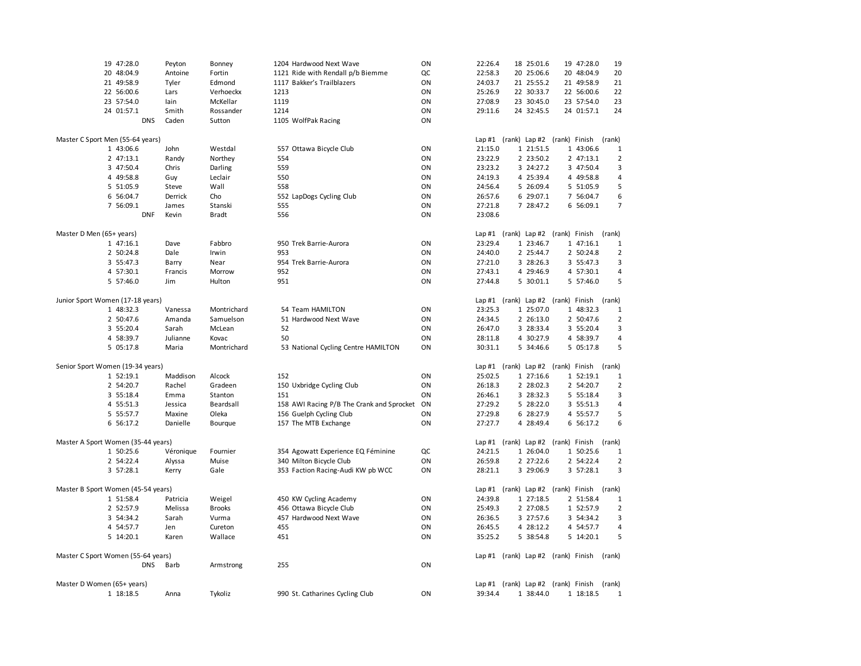| 19 47:28.0                         | Peyton    | Bonney        | 1204 Hardwood Next Wave                   | ON | 22:26.4 | 18 25:01.6                         | 19 47:28.0 | 19                      |
|------------------------------------|-----------|---------------|-------------------------------------------|----|---------|------------------------------------|------------|-------------------------|
| 20 48:04.9                         | Antoine   | Fortin        | 1121 Ride with Rendall p/b Biemme         | QC | 22:58.3 | 20 25:06.6                         | 20 48:04.9 | 20                      |
| 21 49:58.9                         | Tyler     | Edmond        | 1117 Bakker's Trailblazers                | ON | 24:03.7 | 21 25:55.2                         | 21 49:58.9 | 21                      |
| 22 56:00.6                         | Lars      | Verhoeckx     | 1213                                      | ON | 25:26.9 | 22 30:33.7                         | 22 56:00.6 | 22                      |
| 23 57:54.0                         | lain      | McKellar      | 1119                                      | ON | 27:08.9 | 23 30:45.0                         | 23 57:54.0 | 23                      |
| 24 01:57.1                         | Smith     | Rossander     | 1214                                      | ON | 29:11.6 | 24 32:45.5                         | 24 01:57.1 | 24                      |
| <b>DNS</b>                         | Caden     | Sutton        | 1105 WolfPak Racing                       | ON |         |                                    |            |                         |
|                                    |           |               |                                           |    |         |                                    |            |                         |
| Master C Sport Men (55-64 years)   |           |               |                                           |    |         | Lap #1 (rank) Lap #2 (rank) Finish |            | (rank)                  |
| 1 43:06.6                          | John      | Westdal       | 557 Ottawa Bicycle Club                   | ON | 21:15.0 | 1 21:51.5                          | 1 43:06.6  | 1                       |
| 2 47:13.1                          | Randy     | Northey       | 554                                       | ON | 23:22.9 | 2 23:50.2                          | 2 47:13.1  | $\overline{\mathbf{c}}$ |
| 3 47:50.4                          | Chris     | Darling       | 559                                       | ON | 23:23.2 | 3 24:27.2                          | 3 47:50.4  | 3                       |
| 4 49:58.8                          | Guy       | Leclair       | 550                                       | ON | 24:19.3 | 4 25:39.4                          | 4 49:58.8  | 4                       |
| 5 51:05.9                          | Steve     | Wall          | 558                                       | ON | 24:56.4 | 5 26:09.4                          | 5 51:05.9  | 5                       |
| 6 56:04.7                          | Derrick   | Cho           | 552 LapDogs Cycling Club                  | ON | 26:57.6 | 6 29:07.1                          | 7 56:04.7  | 6                       |
| 7 56:09.1                          | James     | Stanski       | 555                                       | ON | 27:21.8 | 7 28:47.2                          | 6 56:09.1  | 7                       |
| <b>DNF</b>                         | Kevin     | <b>Bradt</b>  | 556                                       | ON | 23:08.6 |                                    |            |                         |
| Master D Men (65+ years)           |           |               |                                           |    |         | Lap #1 (rank) Lap #2 (rank) Finish |            | (rank)                  |
| 1 47:16.1                          | Dave      | Fabbro        | 950 Trek Barrie-Aurora                    | ON | 23:29.4 | 1 23:46.7                          | 1 47:16.1  | $\mathbf{1}$            |
| 2 50:24.8                          | Dale      | Irwin         | 953                                       | ON | 24:40.0 | 2 25:44.7                          | 2 50:24.8  | $\overline{2}$          |
| 3 55:47.3                          | Barry     | Near          | 954 Trek Barrie-Aurora                    | ON | 27:21.0 | 3 28:26.3                          | 3 55:47.3  | 3                       |
| 4 57:30.1                          | Francis   | Morrow        | 952                                       | ON | 27:43.1 | 4 29:46.9                          | 4 57:30.1  | $\overline{4}$          |
| 5 57:46.0                          | Jim       | Hulton        | 951                                       | ON | 27:44.8 | 5 30:01.1                          | 5 57:46.0  | 5                       |
|                                    |           |               |                                           |    |         |                                    |            |                         |
| Junior Sport Women (17-18 years)   |           |               |                                           |    |         | Lap #1 (rank) Lap #2 (rank) Finish |            | (rank)                  |
| 1 48:32.3                          | Vanessa   | Montrichard   | 54 Team HAMILTON                          | ON | 23:25.3 | 1 25:07.0                          | 1 48:32.3  | 1                       |
| 2 50:47.6                          | Amanda    | Samuelson     | 51 Hardwood Next Wave                     | ON | 24:34.5 | 2 26:13.0                          | 2 50:47.6  | $\overline{\mathbf{c}}$ |
| 3 55:20.4                          | Sarah     | McLean        | 52                                        | ON | 26:47.0 | 3 28:33.4                          | 3 55:20.4  | 3                       |
| 4 58:39.7                          | Julianne  | Kovac         | 50                                        | ON | 28:11.8 | 4 30:27.9                          | 4 58:39.7  | 4                       |
| 5 05:17.8                          | Maria     | Montrichard   | 53 National Cycling Centre HAMILTON       | ON | 30:31.1 | 5 34:46.6                          | 5 05:17.8  | 5                       |
| Senior Sport Women (19-34 years)   |           |               |                                           |    |         | Lap #1 (rank) Lap #2 (rank) Finish |            | (rank)                  |
| 1 52:19.1                          | Maddison  | Alcock        | 152                                       | ON | 25:02.5 | 1 27:16.6                          | 1 52:19.1  | 1                       |
| 2 54:20.7                          | Rachel    | Gradeen       | 150 Uxbridge Cycling Club                 | ON | 26:18.3 | 2 28:02.3                          | 2 54:20.7  | 2                       |
| 3 55:18.4                          | Emma      | Stanton       | 151                                       | ON | 26:46.1 | 3 28:32.3                          | 5 55:18.4  | 3                       |
|                                    |           |               |                                           |    |         |                                    |            |                         |
| 4 55:51.3                          | Jessica   | Beardsall     | 158 AWI Racing P/B The Crank and Sprocket | ON | 27:29.2 | 5 28:22.0                          | 3 55:51.3  | 4                       |
| 5 55:57.7                          | Maxine    | Oleka         | 156 Guelph Cycling Club                   | ON | 27:29.8 | 6 28:27.9                          | 4 55:57.7  | 5                       |
| 6 56:17.2                          | Danielle  | Bourque       | 157 The MTB Exchange                      | ON | 27:27.7 | 4 28:49.4                          | 6 56:17.2  | 6                       |
| Master A Sport Women (35-44 years) |           |               |                                           |    |         | Lap #1 (rank) Lap #2 (rank) Finish |            | (rank)                  |
| 1 50:25.6                          | Véronique | Fournier      | 354 Agowatt Experience EQ Féminine        | QC | 24:21.5 | 1 26:04.0                          | 1 50:25.6  | 1                       |
| 2 54:22.4                          | Alyssa    | Muise         | 340 Milton Bicycle Club                   | ON | 26:59.8 | 2 27:22.6                          | 2 54:22.4  | $\overline{2}$          |
| 3 57:28.1                          | Kerry     | Gale          | 353 Faction Racing-Audi KW pb WCC         | ON | 28:21.1 | 3 29:06.9                          | 3 57:28.1  | 3                       |
|                                    |           |               |                                           |    |         |                                    |            |                         |
| Master B Sport Women (45-54 years) |           |               |                                           |    |         | Lap #1 (rank) Lap #2 (rank) Finish |            | (rank)                  |
| 1 51:58.4                          | Patricia  | Weigel        | 450 KW Cycling Academy                    | ON | 24:39.8 | 1 27:18.5                          | 2 51:58.4  | 1                       |
| 2 52:57.9                          | Melissa   | <b>Brooks</b> | 456 Ottawa Bicycle Club                   | ON | 25:49.3 | 2 27:08.5                          | 1 52:57.9  | $\overline{2}$          |
| 3 54:34.2                          | Sarah     | Vurma         | 457 Hardwood Next Wave                    | ON | 26:36.5 | 3 27:57.6                          | 3 54:34.2  | 3                       |
| 4 54:57.7                          | Jen       | Cureton       | 455                                       | ON | 26:45.5 | 4 28:12.2                          | 4 54:57.7  | 4                       |
| 5 14:20.1                          | Karen     | Wallace       | 451                                       | ON | 35:25.2 | 5 38:54.8                          | 5 14:20.1  | 5                       |
| Master C Sport Women (55-64 years) |           |               |                                           |    |         | Lap #1 (rank) Lap #2 (rank) Finish |            | (rank)                  |
| <b>DNS</b>                         | Barb      | Armstrong     | 255                                       | ON |         |                                    |            |                         |
|                                    |           |               |                                           |    |         |                                    |            |                         |
| Master D Women (65+ years)         |           |               |                                           |    |         | Lap #1 (rank) Lap #2 (rank) Finish |            | (rank)                  |
| 1 18:18.5                          | Anna      | Tykoliz       | 990 St. Catharines Cycling Club           | ON | 39:34.4 | 1 38:44.0                          | 1 18:18.5  | 1                       |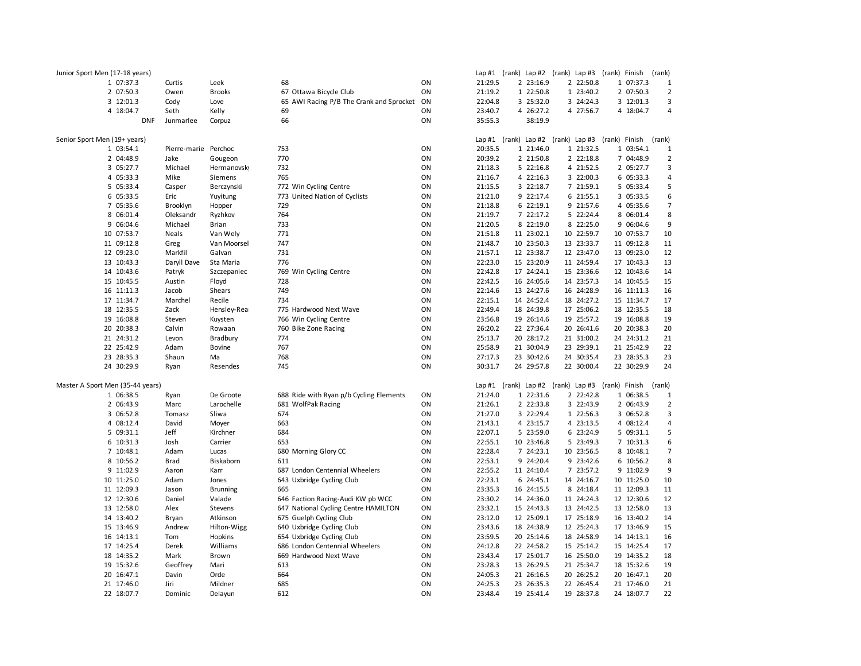| Junior Sport Men (17-18 years) |                                               |                      |                          |                                                                           |          |                    |                          | Lap #1 (rank) Lap #2 (rank) Lap #3 (rank) Finish |                          | (rank)                |
|--------------------------------|-----------------------------------------------|----------------------|--------------------------|---------------------------------------------------------------------------|----------|--------------------|--------------------------|--------------------------------------------------|--------------------------|-----------------------|
|                                | 1 07:37.3                                     | Curtis               | Leek                     | 68                                                                        | ON       | 21:29.5            | 2 23:16.9                | 2 22:50.8                                        | 1 07:37.3                | 1                     |
|                                | 2 07:50.3                                     | Owen                 | <b>Brooks</b>            | 67 Ottawa Bicycle Club                                                    | ON       | 21:19.2            | 1 22:50.8                | 1 23:40.2                                        | 2 07:50.3                | $\overline{2}$        |
|                                | 3 12:01.3                                     | Cody                 | Love                     | 65 AWI Racing P/B The Crank and Sprocket                                  | ON       | 22:04.8            | 3 25:32.0                | 3 24:24.3                                        | 3 12:01.3                | 3                     |
|                                | 4 18:04.7                                     | Seth                 | Kelly                    | 69                                                                        | ON       | 23:40.7            | 4 26:27.2                | 4 27:56.7                                        | 4 18:04.7                | 4                     |
|                                | <b>DNF</b>                                    | Junmarlee            | Corpuz                   | 66                                                                        | ON       | 35:55.3            | 38:19.9                  |                                                  |                          |                       |
| Senior Sport Men (19+ years)   |                                               |                      |                          |                                                                           |          |                    |                          | Lap #1 (rank) Lap #2 (rank) Lap #3 (rank) Finish |                          | (rank)                |
|                                | 1 03:54.1                                     | Pierre-marie Perchoc |                          | 753                                                                       | ON       | 20:35.5            | 1 21:46.0                | 1 21:32.5                                        | 1 03:54.1                | $\mathbf{1}$          |
|                                | 2 04:48.9                                     | Jake                 | Gougeon                  | 770                                                                       | ON       | 20:39.2            | 2 21:50.8                | 2 22:18.8                                        | 7 04:48.9                | $\overline{2}$        |
|                                | 3 05:27.7                                     | Michael              | Hermanovsky              | 732                                                                       | ON       | 21:18.3            | 5 22:16.8                | 4 21:52.5                                        | 2 05:27.7                | 3                     |
|                                | 4 05:33.3                                     | Mike                 | Siemens                  | 765                                                                       | ON       | 21:16.7            | 4 22:16.3                | 3 22:00.3                                        | 6 05:33.3                | 4                     |
|                                | 5 05:33.4                                     | Casper               | Berczynski               | 772 Win Cycling Centre                                                    | ON       | 21:15.5            | 3 22:18.7                | 7 21:59.1                                        | 5 05:33.4                | 5                     |
|                                | 6 05:33.5                                     | Eric                 | Yuyitung                 | 773 United Nation of Cyclists                                             | ON       | 21:21.0            | 9 22:17.4                | 6 21:55.1                                        | 3 05:33.5                | 6                     |
|                                | 7 05:35.6                                     | Brooklyn             | Hopper                   | 729                                                                       | ON       | 21:18.8            | 6 22:19.1                | 9 21:57.6                                        | 4 05:35.6                | $\overline{7}$        |
|                                | 8 06:01.4                                     | Oleksandr            | Ryzhkov                  | 764                                                                       | ON       | 21:19.7            | 7 22:17.2                | 5 22:24.4                                        | 8 06:01.4                | 8                     |
|                                | 9 06:04.6                                     | Michael              | <b>Brian</b>             | 733                                                                       | ON       | 21:20.5            | 8 22:19.0                | 8 22:25.0                                        | 9 06:04.6                | 9                     |
|                                | 10 07:53.7                                    | Neals                | Van Wely                 | 771                                                                       | ON       | 21:51.8            | 11 23:02.1               | 10 22:59.7                                       | 10 07:53.7               | 10                    |
|                                | 11 09:12.8                                    | Greg                 | Van Moorsel              | 747                                                                       | ON       | 21:48.7            | 10 23:50.3               | 13 23:33.7                                       | 11 09:12.8               | $11\,$                |
|                                | 12 09:23.0                                    | Markfil              | Galvan                   | 731                                                                       | ON       | 21:57.1            | 12 23:38.7               | 12 23:47.0                                       | 13 09:23.0               | 12                    |
|                                | 13 10:43.3                                    | Daryll Dave          | Sta Maria                | 776                                                                       | ON       | 22:23.0            | 15 23:20.9               | 11 24:59.4                                       | 17 10:43.3               | 13                    |
|                                | 14 10:43.6                                    | Patryk               | Szczepaniec              | 769 Win Cycling Centre                                                    | ON       | 22:42.8            | 17 24:24.1               | 15 23:36.6                                       | 12 10:43.6               | 14                    |
|                                | 15 10:45.5                                    | Austin               | Floyd                    | 728                                                                       | ON       | 22:42.5            | 16 24:05.6               | 14 23:57.3                                       | 14 10:45.5               | 15                    |
|                                | 16 11:11.3                                    | Jacob                | Shears                   | 749                                                                       | ON       | 22:14.6            | 13 24:27.6               | 16 24:28.9                                       | 16 11:11.3               | 16                    |
|                                | 17 11:34.7                                    | Marchel              | Recile                   | 734                                                                       | ON       | 22:15.1            | 14 24:52.4               | 18 24:27.2                                       | 15 11:34.7               | 17                    |
|                                | 18 12:35.5                                    | Zack                 | Hensley-Rea              | 775 Hardwood Next Wave                                                    | ON       | 22:49.4            | 18 24:39.8               | 17 25:06.2                                       | 18 12:35.5               | 18                    |
|                                | 19 16:08.8                                    | Steven               | Kuysten                  | 766 Win Cycling Centre                                                    | ON       | 23:56.8            | 19 26:14.6               | 19 25:57.2                                       | 19 16:08.8               | 19                    |
|                                | 20 20:38.3                                    | Calvin               | Rowaan                   | 760 Bike Zone Racing                                                      | ON       | 26:20.2            | 22 27:36.4               | 20 26:41.6                                       | 20 20:38.3               | 20                    |
|                                | 21 24:31.2                                    | Levon                | Bradbury                 | 774                                                                       | ON       | 25:13.7            | 20 28:17.2               | 21 31:00.2                                       | 24 24:31.2               | 21                    |
|                                | 22 25:42.9                                    | Adam                 | <b>Bovine</b>            | 767                                                                       | ON       | 25:58.9            | 21 30:04.9               | 23 29:39.1                                       | 21 25:42.9               | 22                    |
|                                | 23 28:35.3                                    | Shaun                | Ma                       | 768                                                                       | ON       | 27:17.3            | 23 30:42.6               | 24 30:35.4                                       | 23 28:35.3               | 23                    |
|                                | 24 30:29.9                                    | Ryan                 | Resendes                 | 745                                                                       | ON       | 30:31.7            | 24 29:57.8               | 22 30:00.4                                       | 22 30:29.9               | 24                    |
|                                |                                               |                      |                          |                                                                           |          |                    |                          | Lap #1 (rank) Lap #2 (rank) Lap #3 (rank) Finish |                          |                       |
|                                | Master A Sport Men (35-44 years)<br>1 06:38.5 |                      | De Groote                | 688 Ride with Ryan p/b Cycling Elements                                   | ON       | 21:24.0            | 1 22:31.6                | 2 22:42.8                                        | 1 06:38.5                | (rank)<br>$\mathbf 1$ |
|                                |                                               | Ryan                 | Larochelle               |                                                                           | ON       | 21:26.1            | 2 22:33.8                | 3 22:43.9                                        | 2 06:43.9                |                       |
|                                | 2 06:43.9                                     | Marc                 |                          | 681 WolfPak Racing                                                        | ON       | 21:27.0            | 3 22:29.4                |                                                  | 3 06:52.8                | $\overline{2}$        |
|                                | 3 06:52.8                                     | Tomasz               | Sliwa                    | 674                                                                       |          |                    |                          | 1 22:56.3                                        |                          | 3                     |
|                                | 4 08:12.4<br>5 09:31.1                        | David<br>Jeff        | Moyer                    | 663<br>684                                                                | ON<br>ON | 21:43.1<br>22:07.1 | 4 23:15.7<br>5 23:59.0   | 4 23:13.5<br>6 23:24.9                           | 4 08:12.4<br>5 09:31.1   | 4<br>5                |
|                                | 6 10:31.3                                     | Josh                 | Kirchner<br>Carrier      | 653                                                                       | ON       | 22:55.1            | 10 23:46.8               | 5 23:49.3                                        | 7 10:31.3                | 6                     |
|                                | 7 10:48.1                                     |                      |                          | 680 Morning Glory CC                                                      | ON       | 22:28.4            | 7 24:23.1                |                                                  | 8 10:48.1                | $\overline{7}$        |
|                                | 8 10:56.2                                     | Adam                 | Lucas                    | 611                                                                       | ON       | 22:53.1            | 9 24:20.4                | 10 23:56.5<br>9 23:42.6                          | 6 10:56.2                | 8                     |
|                                | 9 11:02.9                                     | Brad<br>Aaron        | Biskaborn<br>Karr        | 687 London Centennial Wheelers                                            | ON       | 22:55.2            | 11 24:10.4               | 7 23:57.2                                        | 9 11:02.9                | 9                     |
|                                | 10 11:25.0                                    | Adam                 |                          | 643 Uxbridge Cycling Club                                                 | ON       | 22:23.1            | 6 24:45.1                | 14 24:16.7                                       | 10 11:25.0               | 10                    |
|                                | 11 12:09.3                                    | Jason                | Jones<br><b>Brunning</b> | 665                                                                       | ON       | 23:35.3            | 16 24:15.5               | 8 24:18.4                                        | 11 12:09.3               | 11                    |
|                                | 12 12:30.6                                    | Daniel               | Valade                   |                                                                           | ON       | 23:30.2            | 14 24:36.0               | 11 24:24.3                                       |                          | 12                    |
|                                | 13 12:58.0                                    | Alex                 |                          | 646 Faction Racing-Audi KW pb WCC<br>647 National Cycling Centre HAMILTON | ON       | 23:32.1            | 15 24:43.3               | 13 24:42.5                                       | 12 12:30.6<br>13 12:58.0 | 13                    |
|                                | 14 13:40.2                                    | Bryan                | Stevens<br>Atkinson      | 675 Guelph Cycling Club                                                   | ON       | 23:12.0            | 12 25:09.1               | 17 25:18.9                                       | 16 13:40.2               | 14                    |
|                                | 15 13:46.9                                    | Andrew               | Hilton-Wigg              | 640 Uxbridge Cycling Club                                                 | ON       | 23:43.6            | 18 24:38.9               | 12 25:24.3                                       | 17 13:46.9               | 15                    |
|                                | 16 14:13.1                                    | Tom                  | Hopkins                  | 654 Uxbridge Cycling Club                                                 | ON       | 23:59.5            | 20 25:14.6               | 18 24:58.9                                       | 14 14:13.1               | 16                    |
|                                |                                               | Derek                |                          |                                                                           | ON       |                    |                          |                                                  |                          |                       |
|                                | 17 14:25.4<br>18 14:35.2                      | Mark                 | Williams<br>Brown        | 686 London Centennial Wheelers<br>669 Hardwood Next Wave                  | ON       | 24:12.8<br>23:43.4 | 22 24:58.2<br>17 25:01.7 | 15 25:14.2<br>16 25:50.0                         | 15 14:25.4<br>19 14:35.2 | 17<br>18              |
|                                | 19 15:32.6                                    | Geoffrey             | Mari                     | 613                                                                       | ON       | 23:28.3            | 13 26:29.5               | 21 25:34.7                                       | 18 15:32.6               | 19                    |
|                                | 20 16:47.1                                    | Davin                | Orde                     | 664                                                                       | ON       | 24:05.3            | 21 26:16.5               | 20 26:25.2                                       | 20 16:47.1               | 20                    |
|                                | 21 17:46.0                                    | Jiri                 | Mildner                  | 685                                                                       | ON       | 24:25.3            | 23 26:35.3               | 22 26:45.4                                       | 21 17:46.0               | 21                    |
|                                | 22 18:07.7                                    | Dominic              | Delayun                  | 612                                                                       | ON       | 23:48.4            | 19 25:41.4               | 19 28:37.8                                       | 24 18:07.7               | 22                    |
|                                |                                               |                      |                          |                                                                           |          |                    |                          |                                                  |                          |                       |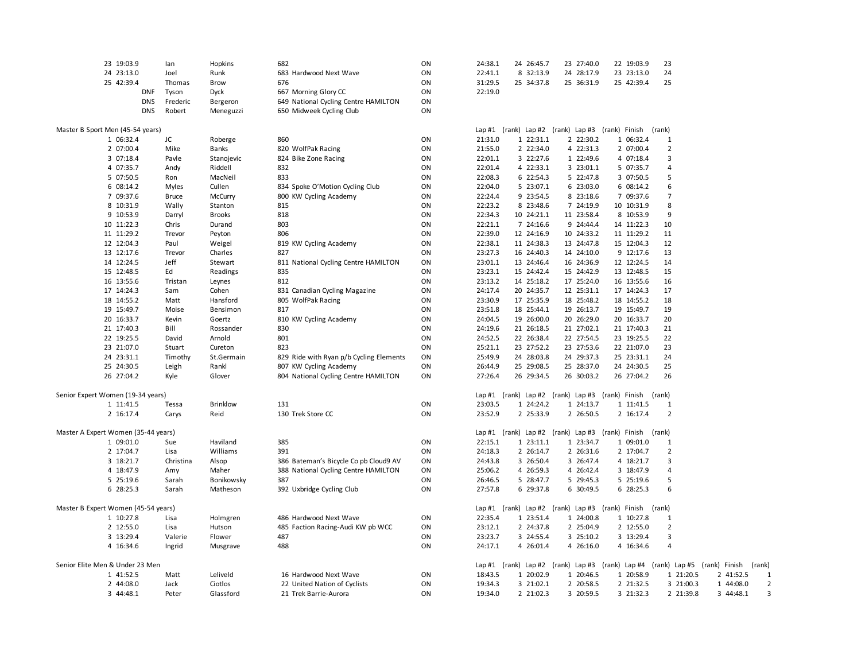| 23 19:03.9                                       | lan          | Hopkins         | 682                                     | ON       | 24:38.1 | 24 26:45.7                                       | 23 27:40.0 | 22 19:03.9                                                                   | 23                  |           |           |                |
|--------------------------------------------------|--------------|-----------------|-----------------------------------------|----------|---------|--------------------------------------------------|------------|------------------------------------------------------------------------------|---------------------|-----------|-----------|----------------|
| 24 23:13.0                                       | Joel         | Runk            | 683 Hardwood Next Wave                  | ON       | 22:41.1 | 8 32:13.9                                        | 24 28:17.9 | 23 23:13.0                                                                   | 24                  |           |           |                |
| 25 42:39.4                                       | Thomas       | Brow            | 676                                     | ON       | 31:29.5 | 25 34:37.8                                       | 25 36:31.9 | 25 42:39.4                                                                   | 25                  |           |           |                |
| <b>DNF</b>                                       | Tyson        | Dyck            | 667 Morning Glory CC                    | ON       | 22:19.0 |                                                  |            |                                                                              |                     |           |           |                |
| <b>DNS</b>                                       | Frederic     | Bergeron        | 649 National Cycling Centre HAMILTON    | ON       |         |                                                  |            |                                                                              |                     |           |           |                |
| <b>DNS</b>                                       | Robert       | Meneguzzi       | 650 Midweek Cycling Club                | ON       |         |                                                  |            |                                                                              |                     |           |           |                |
|                                                  |              |                 |                                         |          |         |                                                  |            |                                                                              |                     |           |           |                |
| Master B Sport Men (45-54 years)                 |              |                 |                                         |          |         | Lap #1 (rank) Lap #2 (rank) Lap #3 (rank) Finish |            |                                                                              | (rank)              |           |           |                |
| 1 06:32.4                                        | JC           | Roberge         | 860                                     | ON       | 21:31.0 | 1 22:31.1                                        | 2 22:30.2  | 1 06:32.4                                                                    | $\mathbf{1}$        |           |           |                |
| 2 07:00.4                                        | Mike         | Banks           | 820 WolfPak Racing                      | ON       | 21:55.0 | 2 22:34.0                                        | 4 22:31.3  | 2 07:00.4                                                                    | $\overline{2}$      |           |           |                |
| 3 07:18.4                                        | Pavle        | Stanojevic      | 824 Bike Zone Racing                    | ON       | 22:01.1 | 3 22:27.6                                        | 1 22:49.6  | 4 07:18.4                                                                    | 3                   |           |           |                |
| 4 07:35.7                                        | Andy         | Riddell         | 832                                     | ON       | 22:01.4 | 4 22:33.1                                        | 3 23:01.1  | 5 07:35.7                                                                    | 4                   |           |           |                |
| 5 07:50.5                                        | Ron          | MacNeil         | 833                                     | ON       | 22:08.3 | 6 22:54.3                                        | 5 22:47.8  | 3 07:50.5                                                                    | 5                   |           |           |                |
| 6 08:14.2                                        | Myles        | Cullen          | 834 Spoke O'Motion Cycling Club         | ON       | 22:04.0 | 5 23:07.1                                        | 6 23:03.0  | 6 08:14.2                                                                    | 6                   |           |           |                |
| 7 09:37.6                                        | <b>Bruce</b> | McCurry         | 800 KW Cycling Academy                  | ON       | 22:24.4 | 9 23:54.5                                        | 8 23:18.6  | 7 09:37.6                                                                    | $\overline{7}$      |           |           |                |
| 8 10:31.9                                        | Wally        | Stanton         | 815                                     | ON       | 22:23.2 | 8 23:48.6                                        | 7 24:19.9  | 10 10:31.9                                                                   | 8                   |           |           |                |
| 9 10:53.9                                        | Darryl       | <b>Brooks</b>   | 818                                     | ON       | 22:34.3 | 10 24:21.1                                       | 11 23:58.4 | 8 10:53.9                                                                    | 9                   |           |           |                |
| 10 11:22.3                                       | Chris        | Durand          | 803                                     | ON       | 22:21.1 | 7 24:16.6                                        | 9 24:44.4  | 14 11:22.3                                                                   | 10                  |           |           |                |
| 11 11:29.2                                       | Trevor       | Peyton          | 806                                     | ON       | 22:39.0 | 12 24:16.9                                       | 10 24:33.2 | 11 11:29.2                                                                   | 11                  |           |           |                |
| 12 12:04.3                                       | Paul         | Weigel          | 819 KW Cycling Academy                  | ON       | 22:38.1 | 11 24:38.3                                       | 13 24:47.8 | 15 12:04.3                                                                   | 12                  |           |           |                |
| 13 12:17.6                                       | Trevor       | Charles         | 827                                     | ON       | 23:27.3 | 16 24:40.3                                       | 14 24:10.0 | 9 12:17.6                                                                    | 13                  |           |           |                |
| 14 12:24.5                                       | Jeff         | Stewart         | 811 National Cycling Centre HAMILTON    | ON       | 23:01.1 | 13 24:46.4                                       | 16 24:36.9 | 12 12:24.5                                                                   | 14                  |           |           |                |
| 15 12:48.5                                       | Ed           | Readings        | 835                                     | ON       | 23:23.1 | 15 24:42.4                                       | 15 24:42.9 | 13 12:48.5                                                                   | 15                  |           |           |                |
| 16 13:55.6                                       | Tristan      | Leynes          | 812                                     | ON       | 23:13.2 | 14 25:18.2                                       | 17 25:24.0 | 16 13:55.6                                                                   | 16                  |           |           |                |
| 17 14:24.3                                       | Sam          | Cohen           | 831 Canadian Cycling Magazine           | ON       | 24:17.4 | 20 24:35.7                                       | 12 25:31.1 | 17 14:24.3                                                                   | 17                  |           |           |                |
| 18 14:55.2                                       | Matt         | Hansford        | 805 WolfPak Racing                      | ON       | 23:30.9 | 17 25:35.9                                       | 18 25:48.2 | 18 14:55.2                                                                   | 18                  |           |           |                |
| 19 15:49.7                                       | Moise        | Bensimon        | 817                                     | ON       | 23:51.8 | 18 25:44.1                                       | 19 26:13.7 | 19 15:49.7                                                                   | 19                  |           |           |                |
| 20 16:33.7                                       | Kevin        | Goertz          | 810 KW Cycling Academy                  | ON       | 24:04.5 | 19 26:00.0                                       | 20 26:29.0 | 20 16:33.7                                                                   | 20                  |           |           |                |
| 21 17:40.3                                       | Bill         | Rossander       | 830                                     | ON       | 24:19.6 | 21 26:18.5                                       | 21 27:02.1 | 21 17:40.3                                                                   | 21                  |           |           |                |
| 22 19:25.5                                       | David        | Arnold          | 801                                     | ON       | 24:52.5 | 22 26:38.4                                       | 22 27:54.5 | 23 19:25.5                                                                   | 22                  |           |           |                |
| 23 21:07.0                                       | Stuart       | Cureton         | 823                                     | ON       | 25:21.1 | 23 27:52.2                                       | 23 27:53.6 | 22 21:07.0                                                                   | 23                  |           |           |                |
| 24 23:31.1                                       | Timothy      | St.Germain      | 829 Ride with Ryan p/b Cycling Elements | ON       | 25:49.9 | 24 28:03.8                                       | 24 29:37.3 | 25 23:31.1                                                                   | 24                  |           |           |                |
| 25 24:30.5                                       | Leigh        | Rankl           | 807 KW Cycling Academy                  | ON       | 26:44.9 | 25 29:08.5                                       | 25 28:37.0 | 24 24:30.5                                                                   | 25                  |           |           |                |
| 26 27:04.2                                       | Kyle         | Glover          | 804 National Cycling Centre HAMILTON    | ON       | 27:26.4 | 26 29:34.5                                       | 26 30:03.2 | 26 27:04.2                                                                   | 26                  |           |           |                |
|                                                  |              |                 |                                         |          |         |                                                  |            |                                                                              |                     |           |           |                |
| Senior Expert Women (19-34 years)                |              |                 |                                         |          |         |                                                  |            | Lap #1 (rank) Lap #2 (rank) Lap #3 (rank) Finish (rank)                      |                     |           |           |                |
| 1 11:41.5                                        | Tessa        | <b>Brinklow</b> | 131                                     | ON       | 23:03.5 | 1 24:24.2                                        | 1 24:13.7  | 1 11:41.5                                                                    | $\mathbf{1}$        |           |           |                |
| 2 16:17.4                                        | Carys        | Reid            | 130 Trek Store CC                       | ON       | 23:52.9 | 2 25:33.9                                        | 2 26:50.5  | 2 16:17.4                                                                    | $\overline{2}$      |           |           |                |
|                                                  |              |                 |                                         |          |         |                                                  |            |                                                                              |                     |           |           |                |
| Master A Expert Women (35-44 years)              |              |                 |                                         |          |         | Lap #1 (rank) Lap #2 (rank) Lap #3 (rank) Finish |            |                                                                              | (rank)              |           |           |                |
| 1 09:01.0                                        | Sue          | Haviland        | 385                                     | ON       | 22:15.1 | 1 23:11.1                                        | 1 23:34.7  | 1 09:01.0                                                                    | $\mathbf{1}$        |           |           |                |
| 2 17:04.7                                        | Lisa         | Williams        | 391                                     | ON       | 24:18.3 | 2 26:14.7                                        | 2 26:31.6  | 2 17:04.7                                                                    | $\overline{2}$      |           |           |                |
| 3 18:21.7                                        | Christina    | Alsop           | 386 Bateman's Bicycle Co pb Cloud9 AV   | ON       | 24:43.8 | 3 26:50.4                                        | 3 26:47.4  | 4 18:21.7                                                                    | 3                   |           |           |                |
| 4 18:47.9                                        | Amy          | Maher           | 388 National Cycling Centre HAMILTON    | ON       | 25:06.2 | 4 26:59.3                                        | 4 26:42.4  | 3 18:47.9                                                                    | 4                   |           |           |                |
| 5 25:19.6                                        | Sarah        | Bonikowsky      | 387                                     | ON       | 26:46.5 | 5 28:47.7                                        | 5 29:45.3  | 5 25:19.6                                                                    | 5                   |           |           |                |
| 6 28:25.3                                        | Sarah        | Matheson        | 392 Uxbridge Cycling Club               | ON       | 27:57.8 | 6 29:37.8                                        | 6 30:49.5  | 6 28:25.3                                                                    | 6                   |           |           |                |
|                                                  |              |                 |                                         |          |         |                                                  |            |                                                                              |                     |           |           |                |
| Master B Expert Women (45-54 years)<br>1 10:27.8 | Lisa         |                 | 486 Hardwood Next Wave                  | ON       | 22:35.4 | 1 23:51.4                                        | 1 24:00.8  | Lap #1 (rank) Lap #2 (rank) Lap #3 (rank) Finish (rank)<br>1 10:27.8         | $\mathbf{1}$        |           |           |                |
|                                                  |              | Holmgren        |                                         |          |         |                                                  |            |                                                                              |                     |           |           |                |
| 2 12:55.0                                        | Lisa         | Hutson          | 485 Faction Racing-Audi KW pb WCC       | ON<br>ON | 23:12.1 | 2 24:37.8                                        | 2 25:04.9  | 2 12:55.0                                                                    | $\overline{2}$<br>3 |           |           |                |
| 3 13:29.4                                        | Valerie      | Flower          | 487                                     |          | 23:23.7 | 3 24:55.4                                        | 3 25:10.2  | 3 13:29.4                                                                    |                     |           |           |                |
| 4 16:34.6                                        | Ingrid       | Musgrave        | 488                                     | ON       | 24:17.1 | 4 26:01.4                                        | 4 26:16.0  | 4 16:34.6                                                                    | $\overline{4}$      |           |           |                |
| Senior Elite Men & Under 23 Men                  |              |                 |                                         |          |         |                                                  |            | Lap #1 (rank) Lap #2 (rank) Lap #3 (rank) Lap #4 (rank) Lap #5 (rank) Finish |                     |           |           | (rank)         |
| 1 41:52.5                                        | Matt         | Leliveld        | 16 Hardwood Next Wave                   | ON       | 18:43.5 | 1 20:02.9                                        | 1 20:46.5  | 1 20:58.9                                                                    |                     | 1 21:20.5 | 2 41:52.5 | 1              |
| 2 44:08.0                                        | Jack         | Ciotlos         | 22 United Nation of Cyclists            | ON       | 19:34.3 | 3 21:02.1                                        | 2 20:58.5  | 2 21:32.5                                                                    |                     | 3 21:00.3 | 1 44:08.0 | $\overline{2}$ |
| 3 44:48.1                                        | Peter        | Glassford       | 21 Trek Barrie-Aurora                   | ON       | 19:34.0 | 2 21:02.3                                        | 3 20:59.5  | 3 21:32.3                                                                    |                     | 2 21:39.8 | 3 44:48.1 | $\overline{3}$ |
|                                                  |              |                 |                                         |          |         |                                                  |            |                                                                              |                     |           |           |                |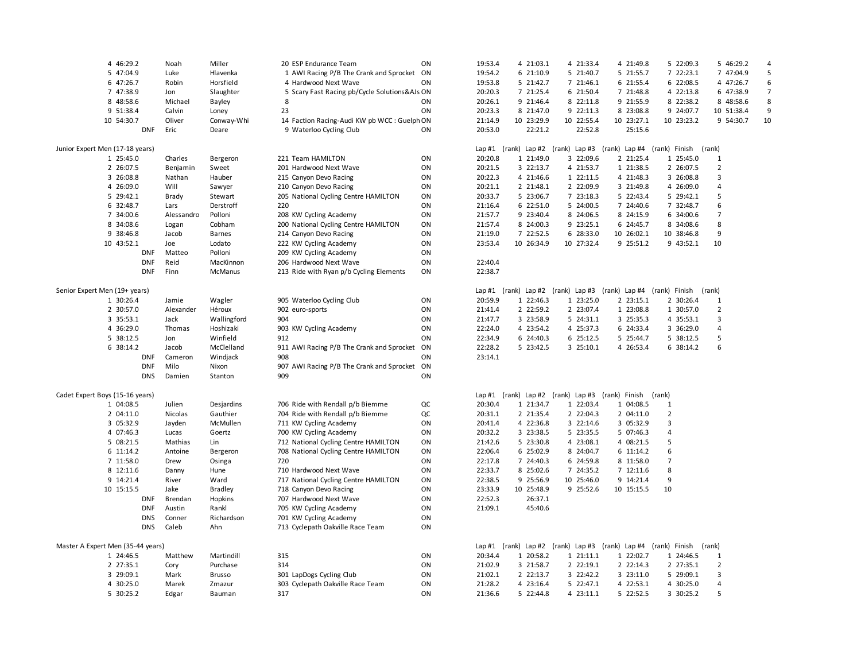| 4 46:29.2                         | Noah       | Miller         | 20 ESP Endurance Team                         | ON | 19:53.4 | 4 21:03.1  | 4 21:33.4                                        | 4 21:49.8  | 5 22:09.3                                                             | 5 46:29.2      |    |
|-----------------------------------|------------|----------------|-----------------------------------------------|----|---------|------------|--------------------------------------------------|------------|-----------------------------------------------------------------------|----------------|----|
| 5 47:04.9                         | Luke       | Hlavenka       | 1 AWI Racing P/B The Crank and Sprocket ON    |    | 19:54.2 | 6 21:10.9  | 5 21:40.7                                        | 5 21:55.7  | 7 22:23.1                                                             | 7 47:04.9      | 5  |
| 6 47:26.7                         | Robin      | Horsfield      | 4 Hardwood Next Wave                          | ON | 19:53.8 | 5 21:42.7  | 7 21:46.1                                        | 6 21:55.4  | 6 22:08.5                                                             | 4 47:26.7      | 6  |
| 7 47:38.9                         | Jon        | Slaughter      | 5 Scary Fast Racing pb/Cycle Solutions&AJs ON |    | 20:20.3 | 7 21:25.4  | 6 21:50.4                                        | 7 21:48.8  | 4 22:13.8                                                             | 6 47:38.9      | 7  |
| 8 48:58.6                         | Michael    | Bayley         | 8                                             | ON | 20:26.1 | 9 21:46.4  | 8 22:11.8                                        | 9 21:55.9  | 8 22:38.2                                                             | 8 48:58.6      | 8  |
| 9 51:38.4                         | Calvin     | Loney          | 23                                            | ON | 20:23.3 | 8 21:47.0  | 9 22:11.3                                        | 8 23:08.8  | 9 24:07.7                                                             | 10 51:38.4     | 9  |
| 10 54:30.7                        | Oliver     |                |                                               |    | 21:14.9 | 10 23:29.9 |                                                  | 10 23:27.1 | 10 23:23.2                                                            | 9 54:30.7      | 10 |
|                                   |            | Conway-Whi     | 14 Faction Racing-Audi KW pb WCC : Guelph ON  |    |         |            | 10 22:55.4                                       |            |                                                                       |                |    |
| <b>DNF</b>                        | Eric       | Deare          | 9 Waterloo Cycling Club                       | ON | 20:53.0 | 22:21.2    | 22:52.8                                          | 25:15.6    |                                                                       |                |    |
|                                   |            |                |                                               |    |         |            |                                                  |            |                                                                       |                |    |
| Junior Expert Men (17-18 years)   |            |                |                                               |    |         |            |                                                  |            | Lap #1 (rank) Lap #2 (rank) Lap #3 (rank) Lap #4 (rank) Finish (rank) |                |    |
| 1 25:45.0                         | Charles    | Bergeron       | 221 Team HAMILTON                             | ON | 20:20.8 | 1 21:49.0  | 3 22:09.6                                        | 2 21:25.4  | 1 25:45.0                                                             | 1              |    |
| 2 26:07.5                         | Benjamin   | Sweet          | 201 Hardwood Next Wave                        | ON | 20:21.5 | 3 22:13.7  | 4 21:53.7                                        | 1 21:38.5  | 2 26:07.5                                                             | $\overline{2}$ |    |
| 3 26:08.8                         | Nathan     | Hauber         | 215 Canyon Devo Racing                        | ON | 20:22.3 | 4 21:46.6  | 1 22:11.5                                        | 4 21:48.3  | 3 26:08.8                                                             | 3              |    |
| 4 26:09.0                         | Will       | Sawyer         | 210 Canyon Devo Racing                        | ON | 20:21.1 | 2 21:48.1  | 2 22:09.9                                        | 3 21:49.8  | 4 26:09.0                                                             | $\overline{4}$ |    |
| 5 29:42.1                         | Brady      | Stewart        | 205 National Cycling Centre HAMILTON          | ON | 20:33.7 | 5 23:06.7  | 7 23:18.3                                        | 5 22:43.4  | 5 29:42.1                                                             | 5              |    |
| 6 32:48.7                         | Lars       | Derstroff      | 220                                           | ON | 21:16.4 | 6 22:51.0  | 5 24:00.5                                        | 7 24:40.6  | 7 32:48.7                                                             | 6              |    |
| 7 34:00.6                         | Alessandro | Polloni        | 208 KW Cycling Academy                        | ON | 21:57.7 | 9 23:40.4  | 8 24:06.5                                        | 8 24:15.9  | 6 34:00.6                                                             | $\overline{7}$ |    |
| 8 34:08.6                         | Logan      | Cobham         | 200 National Cycling Centre HAMILTON          | ON | 21:57.4 | 8 24:00.3  | 9 23:25.1                                        | 6 24:45.7  | 8 34:08.6                                                             | 8              |    |
| 9 38:46.8                         | Jacob      | Barnes         | 214 Canyon Devo Racing                        | ON | 21:19.0 | 7 22:52.5  | 6 28:33.0                                        | 10 26:02.1 | 10 38:46.8                                                            | 9              |    |
| 10 43:52.1                        | Joe        | Lodato         | 222 KW Cycling Academy                        | ON | 23:53.4 | 10 26:34.9 | 10 27:32.4                                       | 9 25:51.2  | 9 43:52.1                                                             | 10             |    |
| <b>DNF</b>                        | Matteo     | Polloni        | 209 KW Cycling Academy                        | ON |         |            |                                                  |            |                                                                       |                |    |
| <b>DNF</b>                        | Reid       | MacKinnon      | 206 Hardwood Next Wave                        | ON | 22:40.4 |            |                                                  |            |                                                                       |                |    |
| <b>DNF</b>                        | Finn       | McManus        | 213 Ride with Ryan p/b Cycling Elements       | ON | 22:38.7 |            |                                                  |            |                                                                       |                |    |
|                                   |            |                |                                               |    |         |            |                                                  |            |                                                                       |                |    |
| Senior Expert Men (19+ years)     |            |                |                                               |    |         |            |                                                  |            | Lap #1 (rank) Lap #2 (rank) Lap #3 (rank) Lap #4 (rank) Finish (rank) |                |    |
| 1 30:26.4                         | Jamie      | Wagler         | 905 Waterloo Cycling Club                     | ON | 20:59.9 | 1 22:46.3  | 1 23:25.0                                        | 2 23:15.1  | 2 30:26.4                                                             | $\mathbf{1}$   |    |
|                                   |            |                |                                               |    |         |            |                                                  |            |                                                                       |                |    |
| 2 30:57.0                         | Alexander  | Héroux         | 902 euro-sports                               | ON | 21:41.4 | 2 22:59.2  | 2 23:07.4                                        | 1 23:08.8  | 1 30:57.0                                                             | $\overline{2}$ |    |
| 3 35:53.1                         | Jack       | Wallingford    | 904                                           | ON | 21:47.7 | 3 23:58.9  | 5 24:31.1                                        | 3 25:35.3  | 4 35:53.1                                                             | 3              |    |
| 4 36:29.0                         | Thomas     | Hoshizaki      | 903 KW Cycling Academy                        | ON | 22:24.0 | 4 23:54.2  | 4 25:37.3                                        | 6 24:33.4  | 3 36:29.0                                                             | 4              |    |
| 5 38:12.5                         | Jon        | Winfield       | 912                                           | ON | 22:34.9 | 6 24:40.3  | 6 25:12.5                                        | 5 25:44.7  | 5 38:12.5                                                             | 5              |    |
| 6 38:14.2                         | Jacob      | McClelland     | 911 AWI Racing P/B The Crank and Sprocket     | ON | 22:28.2 | 5 23:42.5  | 3 25:10.1                                        | 4 26:53.4  | 6 38:14.2                                                             | 6              |    |
| <b>DNF</b>                        | Cameron    | Windjack       | 908                                           | ON | 23:14.1 |            |                                                  |            |                                                                       |                |    |
| <b>DNF</b>                        | Milo       | Nixon          | 907 AWI Racing P/B The Crank and Sprocket ON  |    |         |            |                                                  |            |                                                                       |                |    |
| <b>DNS</b>                        | Damien     | Stanton        | 909                                           | ON |         |            |                                                  |            |                                                                       |                |    |
|                                   |            |                |                                               |    |         |            |                                                  |            |                                                                       |                |    |
| Cadet Expert Boys (15-16 years)   |            |                |                                               |    |         |            | Lap #1 (rank) Lap #2 (rank) Lap #3 (rank) Finish |            | (rank)                                                                |                |    |
| 1 04:08.5                         | Julien     | Desjardins     | 706 Ride with Rendall p/b Biemme              | QC | 20:30.4 | 1 21:34.7  | 1 22:03.4                                        | 1 04:08.5  | $\mathbf{1}$                                                          |                |    |
| 2 04:11.0                         | Nicolas    | Gauthier       | 704 Ride with Rendall p/b Biemme              | QC | 20:31.1 | 2 21:35.4  | 2 22:04.3                                        | 2 04:11.0  | $\overline{2}$                                                        |                |    |
| 3 05:32.9                         | Jayden     | McMullen       | 711 KW Cycling Academy                        | ON | 20:41.4 | 4 22:36.8  | 3 22:14.6                                        | 3 05:32.9  | 3                                                                     |                |    |
| 4 07:46.3                         | Lucas      | Goertz         | 700 KW Cycling Academy                        | ON | 20:32.2 | 3 23:38.5  | 5 23:35.5                                        | 5 07:46.3  | 4                                                                     |                |    |
| 5 08:21.5                         | Mathias    | Lin            | 712 National Cycling Centre HAMILTON          | ON | 21:42.6 | 5 23:30.8  | 4 23:08.1                                        | 4 08:21.5  | 5                                                                     |                |    |
| 6 11:14.2                         | Antoine    | Bergeron       | 708 National Cycling Centre HAMILTON          | ON | 22:06.4 | 6 25:02.9  | 8 24:04.7                                        | 6 11:14.2  | 6                                                                     |                |    |
| 7 11:58.0                         | Drew       | Osinga         | 720                                           | ON | 22:17.8 | 7 24:40.3  | 6 24:59.8                                        | 8 11:58.0  | 7                                                                     |                |    |
| 8 12:11.6                         | Danny      | Hune           | 710 Hardwood Next Wave                        | ON | 22:33.7 | 8 25:02.6  | 7 24:35.2                                        | 7 12:11.6  | 8                                                                     |                |    |
| 9 14:21.4                         | River      | Ward           | 717 National Cycling Centre HAMILTON          | ON | 22:38.5 | 9 25:56.9  | 10 25:46.0                                       | 9 14:21.4  | 9                                                                     |                |    |
| 10 15:15.5                        | Jake       | <b>Bradley</b> | 718 Canyon Devo Racing                        | ON | 23:33.9 | 10 25:48.9 | 9 25:52.6                                        | 10 15:15.5 | 10                                                                    |                |    |
| <b>DNF</b>                        | Brendan    | Hopkins        | 707 Hardwood Next Wave                        | ON | 22:52.3 | 26:37.1    |                                                  |            |                                                                       |                |    |
| <b>DNF</b>                        | Austin     | Rankl          | 705 KW Cycling Academy                        | ON | 21:09.1 | 45:40.6    |                                                  |            |                                                                       |                |    |
| <b>DNS</b>                        | Conner     | Richardson     | 701 KW Cycling Academy                        | ON |         |            |                                                  |            |                                                                       |                |    |
| <b>DNS</b>                        | Caleb      | Ahn            |                                               | ON |         |            |                                                  |            |                                                                       |                |    |
|                                   |            |                | 713 Cyclepath Oakville Race Team              |    |         |            |                                                  |            |                                                                       |                |    |
| Master A Expert Men (35-44 years) |            |                |                                               |    |         |            |                                                  |            | Lap #1 (rank) Lap #2 (rank) Lap #3 (rank) Lap #4 (rank) Finish (rank) |                |    |
| 1 24:46.5                         | Matthew    | Martindill     | 315                                           | ON | 20:34.4 | 1 20:58.2  | 1 21:11.1                                        | 1 22:02.7  | 1 24:46.5                                                             | 1              |    |
| 2 27:35.1                         | Cory       | Purchase       | 314                                           | ON | 21:02.9 | 3 21:58.7  | 2 22:19.1                                        | 2 22:14.3  | 2 27:35.1                                                             | $\overline{2}$ |    |
| 3 29:09.1                         | Mark       | <b>Brusso</b>  | 301 LapDogs Cycling Club                      | ON | 21:02.1 | 2 22:13.7  | 3 22:42.2                                        | 3 23:11.0  | 5 29:09.1                                                             | 3              |    |
| 4 30:25.0                         | Marek      | Zmazur         | 303 Cyclepath Oakville Race Team              | ON | 21:28.2 | 4 23:16.4  | 5 22:47.1                                        | 4 22:53.1  | 4 30:25.0                                                             | $\overline{4}$ |    |
|                                   |            |                |                                               | ON |         |            |                                                  |            |                                                                       |                |    |
| 5 30:25.2                         | Edgar      | Bauman         | 317                                           |    | 21:36.6 | 5 22:44.8  | 4 23:11.1                                        | 5 22:52.5  | 3 30:25.2                                                             | 5              |    |